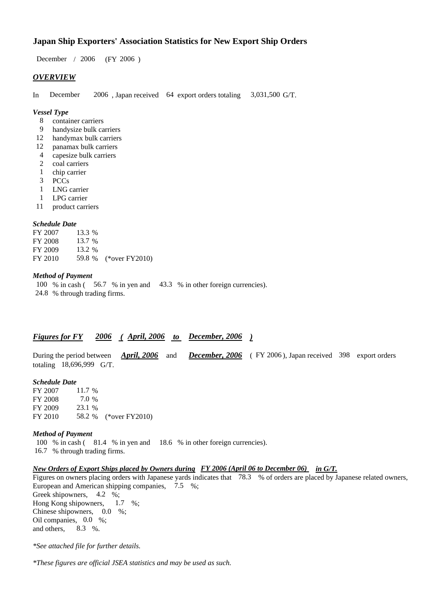## **Japan Ship Exporters' Association Statistics for New Export Ship Orders**

 $/ 2006$  (FY 2006) December / 2006

## *OVERVIEW*

In December 2006, Japan received 64 export orders totaling 3,031,500 G/T.

#### *Vessel Type*

- container carriers 8
- handysize bulk carriers 9
- handymax bulk carriers 12
- panamax bulk carriers 12
- capesize bulk carriers 4
- coal carriers 2
- chip carrier 1
- PCCs 3
- LNG carrier 1
- LPG carrier 1
- product carriers 11

## *Schedule Date*

FY 2007 FY 2008 FY 2009 FY 2010 59.8 % (\*over FY 2010) 13.3 % 13.7 % 13.2

#### *Method of Payment*

100 % in cash (56.7 % in yen and 43.3 % in other foreign currencies). % through trading firms. 24.8

## *Figures for FY* 2006 (*April, 2006 to December, 2006* )

During the period between *April, 2006* and *December, 2006* (FY 2006), Japan received 398 export orders totaling  $18,696,999$  G/T. *April, 2006*

## *Schedule Date*

FY 2007 FY 2008 FY 2009 FY 2010 58.2 % (\*over FY 2010) 11.7 % 23.1 % 58.2 7.0

#### *Method of Payment*

100 % in cash (81.4 % in yen and 18.6 % in other foreign currencies). % through trading firms. 16.7

#### *New Orders of Export Ships placed by Owners during FY 2006 (April 06 to December 06) in G/T.*

Figures on owners placing orders with Japanese yards indicates that 78.3 % of orders are placed by Japanese related owners, European and American shipping companies, 7.5 %; Greek shipowners, 4.2 %;

Hong Kong shipowners, Chinese shipowners,  $0.0\%$ ; Oil companies,  $0.0\%$ ; and others.  $1.7 \t%$  $8.3 \quad \%$ 

*\*See attached file for further details.*

*\*These figures are official JSEA statistics and may be used as such.*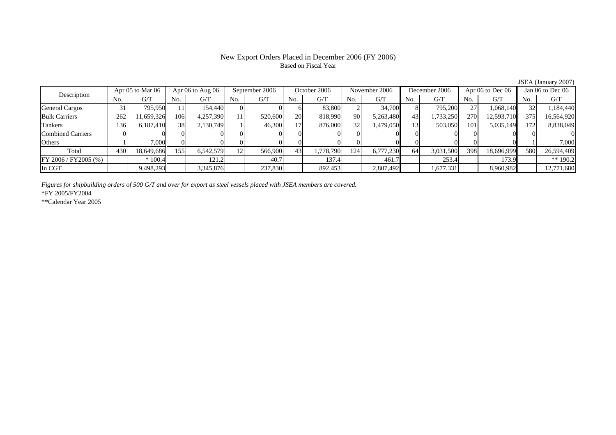### New Export Orders Placed in December 2006 (FY 2006) Based on Fiscal Year

No. G/T No. G/T No. G/T No. G/T No. G/T No. G/T No. G/T No. G/TGeneral Cargos 31 795,950 11 154,440 0 0 6 83,800 2 34,700 8 795,200 27 1,068,140 32 1,184,440 Bulk Carriers 1 262 11,659,326 106 4,257,390 11 520,600 20 818,990 90 5,263,480 43 1,733,250 270 12,593,710 375 16,564,920 Tankers | 136| 6,187,410|| 38| 2,130,749| 1| 46,300| 17| 876,000| 32| 1,479,050| 13| 503,050| 101| 5,035,149|| 172| 8,838,049 Combined Carriers 0 0 0 0 0 0 0 0 0 0 0 0 0 0 0 0Others | 1 | 7,000 || 0 || 0 || 0 || 0 || 0 || 0 || 0 || 1 | 7,000 || 1 | Total 430 18,649,686 155 6,542,579 12 566,900 43 1,778,790 124 6,777,230 64 3,031,500 398 18,696,999 580 26,594,409 FY 2006 / FY2005 (%) \* 100.4 121.2 121.2 137.4 137.4 461.7 136.2 In CGT | | 9,498,293| | 3,345,876| | 237,830| | 892,453| | 2,807,492| | 1,677,331| | 8,960,982|| | 12,771,680 Apr 05 to Mar 06 Apr 06 to Aug 06 September 2006 October 2006 November 2006 December 2006 Apr 06 to Dec 06 Jan 06 to Dec 06 Description

*Figures for shipbuilding orders of 500 G/T and over for export as steel vessels placed with JSEA members are covered.*

\*FY 2005/FY2004

\*\*Calendar Year 2005

JSEA (January 2007)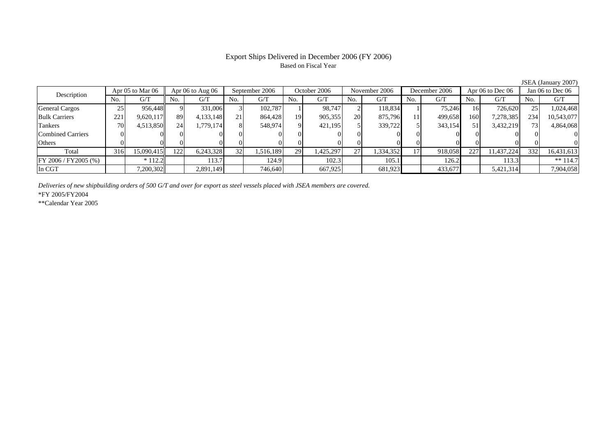### Export Ships Delivered in December 2006 (FY 2006) Based on Fiscal Year

No. I G/T II No. I G/T II No. I G/T II No. I G/T G/T II No. I G/T II No. I G/T II No. I G/T II No. I G/T II No  $G/T$ General Cargos ( 25 956,448 9 331,006 3 102,787 1 98,747 2 118,834 1 75,246 16 726,620 25 1,024,468 Bulk Carriers 221 9,620,117 89 4,133,148 21 864,428 19 905,355 20 875,796 11 499,658 160 7,278,385 234 10,543,077 Tankers | 70| 4,513,850|| 24| 1,779,174| 8| 548,974| 9| 421,195| 5| 339,722| 5| 343,154| 51| 3,432,219|| 73| 4,864,068 Combined Carriers 0 0 0 0 0 0 0 0 0 0 0 0 0 0 0 0Others | 0 | 0 | 0 | 0 | 0 | 0 | 0 | 0 | 0 | 0 | 0 | 0 Total 316 15,090,415 122 6,243,328 32 1,516,189 29 1,425,297 27 1,334,352 17 918,058 227 11,437,224 332 16,431,613 FY 2006 / FY2005 (%) \* 112.2 113.7 124.9 102.3 105.1 126.2 113.3 \*\* 114.7 In CGT | | 7,200,302 | | 2,891,149 | | 746,640 | | 667,925 | | 681,923 | | 433,677 | | 5,421,314 | | 7,904,058 Description Apr 05 to Mar 06 Apr 06 to Aug 06 September 2006 October 2006 November 2006 December 2006 Apr 06 to Dec 06 Jan 06 to Dec 06

*Deliveries of new shipbuilding orders of 500 G/T and over for export as steel vessels placed with JSEA members are covered.*

\*FY 2005/FY2004

\*\*Calendar Year 2005

JSEA (January 2007)